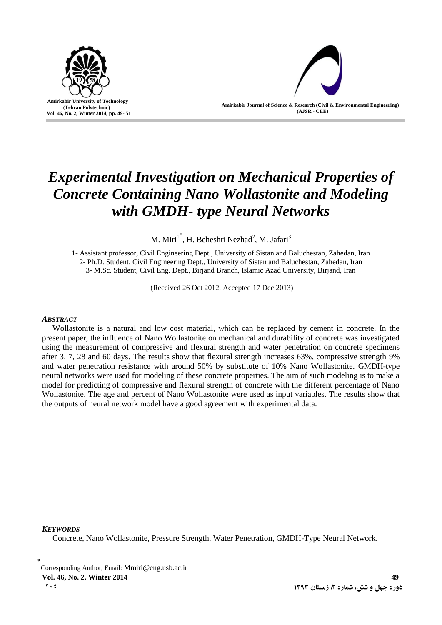

**Amirkabir Journal of Science & Research (Civil & Environmental Engineering) (AJSR - CEE)**

# *Experimental Investigation on Mechanical Properties of Concrete Containing Nano Wollastonite and Modeling with GMDH- type Neural Networks*

M. Miri<sup>1\*</sup>, H. Beheshti Nezhad<sup>2</sup>, M. Jafari<sup>3</sup>

1- Assistant professor, Civil Engineering Dept., University of Sistan and Baluchestan, Zahedan, Iran 2- Ph.D. Student, Civil Engineering Dept., University of Sistan and Baluchestan, Zahedan, Iran 3- M.Sc. Student, Civil Eng. Dept., Birjand Branch, Islamic Azad University, Birjand, Iran

(Received 26 Oct 2012, Accepted 17 Dec 2013)

## *ABSTRACT*

Wollastonite is a natural and low cost material, which can be replaced by cement in concrete. In the present paper, the influence of Nano Wollastonite on mechanical and durability of concrete was investigated using the measurement of compressive and flexural strength and water penetration on concrete specimens after 3, 7, 28 and 60 days. The results show that flexural strength increases 63%, compressive strength 9% and water penetration resistance with around 50% by substitute of 10% Nano Wollastonite. GMDH-type neural networks were used for modeling of these concrete properties. The aim of such modeling is to make a model for predicting of compressive and flexural strength of concrete with the different percentage of Nano Wollastonite. The age and percent of Nano Wollastonite were used as input variables. The results show that the outputs of neural network model have a good agreement with experimental data.

## *KEYWORDS*

Concrete, Nano Wollastonite, Pressure Strength, Water Penetration, GMDH-Type Neural Network.

<sup>٭</sup> Corresponding Author, Email: Mmiri@eng.usb.ac.ir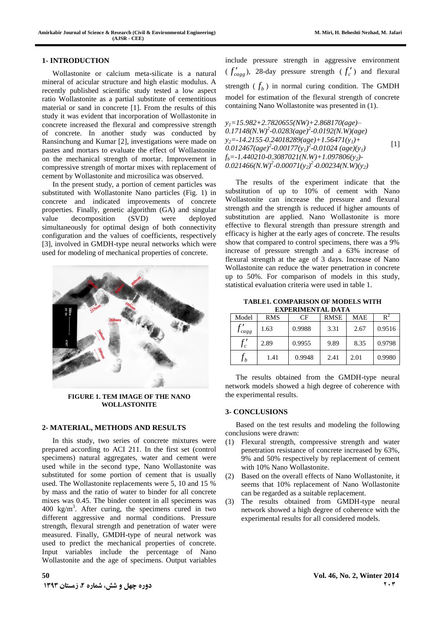#### **1- INTRODUCTION**

Wollastonite or calcium meta-silicate is a natural mineral of acicular structure and high elastic modulus. A recently published scientific study tested a low aspect ratio Wollastonite as a partial substitute of cementitious material or sand in concrete [1]. From the results of this study it was evident that incorporation of Wollastonite in concrete increased the flexural and compressive strength of concrete. In another study was conducted by Ransinchung and Kumar [2], investigations were made on pastes and mortars to evaluate the effect of Wollastonite on the mechanical strength of mortar. Improvement in compressive strength of mortar mixes with replacement of cement by Wollastonite and microsilica was observed.

In the present study, a portion of cement particles was substituted with Wollastonite Nano particles (Fig. 1) in concrete and indicated improvements of concrete properties. Finally, genetic algorithm (GA) and singular value decomposition (SVD) were deployed simultaneously for optimal design of both connectivity configuration and the values of coefficients, respectively [3], involved in GMDH-type neural networks which were used for modeling of mechanical properties of concrete.



**FIGURE 1. TEM IMAGE OF THE NANO WOLLASTONITE**

#### **2- MATERIAL, METHODS AND RESULTS**

In this study, two series of concrete mixtures were prepared according to ACI 211. In the first set (control specimens) natural aggregates, water and cement were used while in the second type, Nano Wollastonite was substituted for some portion of cement that is usually used. The Wollastonite replacements were 5, 10 and 15 % by mass and the ratio of water to binder for all concrete mixes was 0.45. The binder content in all specimens was  $400 \text{ kg/m}^3$ . After curing, the specimens cured in two different aggressive and normal conditions. Pressure strength, flexural strength and penetration of water were measured. Finally, GMDH-type of neural network was used to predict the mechanical properties of concrete. Input variables include the percentage of Nano Wollastonite and the age of specimens. Output variables

include pressure strength in aggressive environment  $(f'_{cagg})$ , 28-day pressure strength  $(f'_c)$  and flexural strength  $(f_b)$  in normal curing condition. The GMDH model for estimation of the flexural strength of concrete containing Nano Wollastonite was presented in (1).

*y1=15.982+2.7820655(NW)+2.868170(age)– 0.17148(N.W)<sup>2</sup> -0.0283(age)<sup>2</sup> -0.0192(N.W)(age) y2=-14.2155*-*0.24018289(age)+1.56471(y1)+ 0.012467(age)<sup>2</sup> -0.00177(y1) 2 -0.01024 (age)(y1) fb=-1.440210-0.3087021(N.W)+1.097806(y2)-*  $(0.021466(N.W)^2 - 0.00071(y_2)^2 - 0.00234(N.W)(y_2)$  $[1]$ 

The results of the experiment indicate that the substitution of up to 10% of cement with Nano Wollastonite can increase the pressure and flexural strength and the strength is reduced if higher amounts of substitution are applied. Nano Wollastonite is more effective to flexural strength than pressure strength and efficacy is higher at the early ages of concrete. The results show that compared to control specimens, there was a 9% increase of pressure strength and a 63% increase of flexural strength at the age of 3 days. Increase of Nano Wollastonite can reduce the water penetration in concrete up to 50%. For comparison of models in this study, statistical evaluation criteria were used in table 1.

**TABLE1. COMPARISON OF MODELS WITH EXPERIMENTAL DATA**

| Model          | <b>RMS</b> | CF     | <b>RMSE</b> | <b>MAE</b> | $R^2$  |
|----------------|------------|--------|-------------|------------|--------|
| $J_{cagg}$     | 1.63       | 0.9988 | 3.31        | 2.67       | 0.9516 |
| ن م<br>$J_c$   | 2.89       | 0.9955 | 9.89        | 8.35       | 0.9798 |
| J <sub>b</sub> | 1.41       | 0.9948 | 2.41        | 2.01       | 0.9980 |

The results obtained from the GMDH-type neural network models showed a high degree of coherence with the experimental results.

#### **3- CONCLUSIONS**

Based on the test results and modeling the following conclusions were drawn:

- (1) Flexural strength, compressive strength and water penetration resistance of concrete increased by 63%, 9% and 50% respectively by replacement of cement with 10% Nano Wollastonite.
- (2) Based on the overall effects of Nano Wollastonite, it seems that 10% replacement of Nano Wollastonite can be regarded as a suitable replacement.
- (3) The results obtained from GMDH-type neural network showed a high degree of coherence with the experimental results for all considered models.